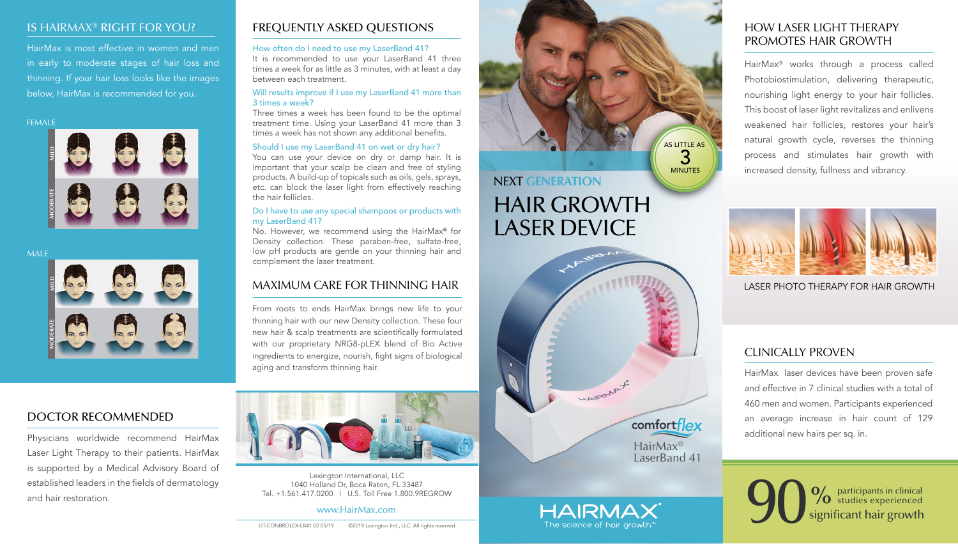LASER DEVICE

HairMax® LaserBand 41

comfortflex

HAIRMAN A

HAIRMAX The science of hair arowth

LASER PHOTO THERAPY FOR HAIR GROWTH

# FREQUENTLY ASKED QUESTIONS

#### How often do I need to use my LaserBand 41?

It is recommended to use your LaserBand 41 three times a week for as little as 3 minutes, with at least a day between each treatment.

#### Will results improve if I use my LaserBand 41 more than 3 times a week?

Three times a week has been found to be the optimal treatment time. Using your LaserBand 41 more than 3 times a week has not shown any additional benefits.

#### Should I use my LaserBand 41 on wet or dry hair?

# NEXT **GENERATION** HAIR GROWTH AS LITTLE AS MINUTES

You can use your device on dry or damp hair. It is important that your scalp be clean and free of styling products. A build-up of topicals such as oils, gels, sprays, etc. can block the laser light from effectively reaching the hair follicles.

#### Do I have to use any special shampoos or products with my LaserBand 41?

No. However, we recommend using the HairMax® for Density collection. These paraben-free, sulfate-free, low pH products are gentle on your thinning hair and complement the laser treatment.

#### FEMALE







3







#### IS HAIRMAX® RIGHT FOR YOU?

HairMax is most effective in women and men in early to moderate stages of hair loss and thinning. If your hair loss looks like the images below, HairMax is recommended for you.

# MAXIMUM CARE FOR THINNING HAIR

From roots to ends HairMax brings new life to your thinning hair with our new Density collection. These four new hair & scalp treatments are scientifically formulated with our proprietary NRG8-pLEX blend of Bio Active ingredients to energize, nourish, fight signs of biological aging and transform thinning hair.



# HOW LASER LIGHT THERAPY PROMOTES HAIR GROWTH

HairMax® works through a process called Photobiostimulation, delivering therapeutic, nourishing light energy to your hair follicles. This boost of laser light revitalizes and enlivens weakened hair follicles, restores your hair's natural growth cycle, reverses the thinning process and stimulates hair growth with increased density, fullness and vibrancy.



DOCTOR RECOMMENDED

Physicians worldwide recommend HairMax Laser Light Therapy to their patients. HairMax is supported by a Medical Advisory Board of established leaders in the fields of dermatology and hair restoration.

Lexington International, LLC 1040 Holland Dr, Boca Raton, FL 33487 Tel. +1.561.417.0200 | U.S. Toll Free 1.800.9REGROW

www.HairMax.com

# CLINICALLY PROVEN

HairMax laser devices have been proven safe and effective in 7 clinical studies with a total of 460 men and women. Participants experienced an average increase in hair count of 129 additional new hairs per sq. in.